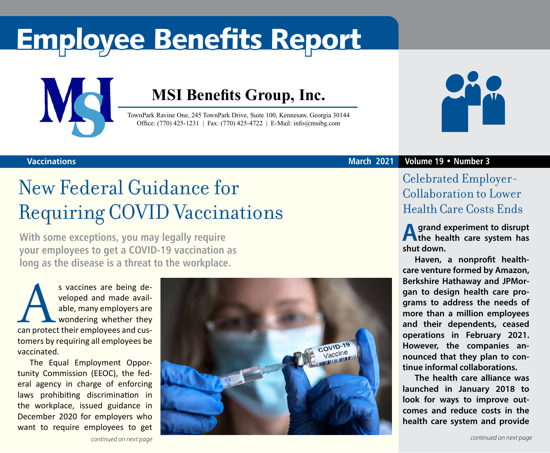# Employee Benefits Report



### **MSI Benefits Group, Inc.**

TownPark Ravine One, 245 TownPark Drive, Suite 100, Kennesaw, Georgia 30144 Office: (770) 425-1231 | Fax: (770) 425-4722 | E-Mail: info@msibg.com



### New Federal Guidance for Requiring COVID Vaccinations

**With some exceptions, you may legally require your employees to get a COVID-19 vaccination as long as the disease is a threat to the workplace.**

s vaccines are being de-<br>
veloped and made avail-<br>
able, many employers are<br>
wondering whether they<br>
can protect their employees and cusveloped and made available, many employers are wondering whether they tomers by requiring all employees be vaccinated.

The Equal Employment Opportunity Commission (EEOC), the federal agency in charge of enforcing laws prohibiting discrimination in the workplace, issued guidance in December 2020 for employers who want to require employees to get





**March 2021 Volume 19 • Number 3**

Celebrated Employer-Collaboration to Lower Health Care Costs Ends

**A grand experiment to disrupt the health care system has shut down.**

**Haven, a nonprofit healthcare venture formed by Amazon, Berkshire Hathaway and JPMorgan to design health care programs to address the needs of more than a million employees and their dependents, ceased operations in February 2021. However, the companies announced that they plan to continue informal collaborations.**

**The health care alliance was launched in January 2018 to look for ways to improve outcomes and reduce costs in the health care system and provide**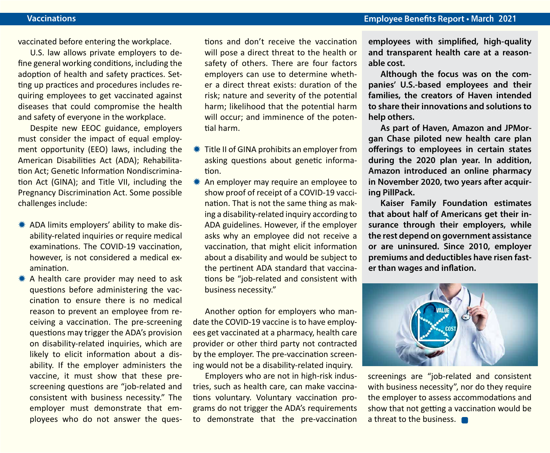vaccinated before entering the workplace.

U.S. law allows private employers to define general working conditions, including the adoption of health and safety practices. Setting up practices and procedures includes requiring employees to get vaccinated against diseases that could compromise the health and safety of everyone in the workplace.

Despite new EEOC guidance, employers must consider the impact of equal employment opportunity (EEO) laws, including the American Disabilities Act (ADA); Rehabilitation Act; Genetic Information Nondiscrimination Act (GINA); and Title VII, including the Pregnancy Discrimination Act. Some possible challenges include:

- \* ADA limits employers' ability to make disability-related inquiries or require medical examinations. The COVID-19 vaccination, however, is not considered a medical examination.
- A health care provider may need to ask questions before administering the vaccination to ensure there is no medical reason to prevent an employee from receiving a vaccination. The pre-screening questions may trigger the ADA's provision on disability-related inquiries, which are likely to elicit information about a disability. If the employer administers the vaccine, it must show that these prescreening questions are "job-related and consistent with business necessity." The employer must demonstrate that employees who do not answer the ques-

tions and don't receive the vaccination will pose a direct threat to the health or safety of others. There are four factors employers can use to determine whether a direct threat exists: duration of the risk; nature and severity of the potential harm; likelihood that the potential harm will occur; and imminence of the potential harm.

- **\#\** Title II of GINA prohibits an employer from asking questions about genetic information.
- $*$  An employer may require an employee to show proof of receipt of a COVID-19 vaccination. That is not the same thing as making a disability-related inquiry according to ADA guidelines. However, if the employer asks why an employee did not receive a vaccination, that might elicit information about a disability and would be subject to the pertinent ADA standard that vaccinations be "job-related and consistent with business necessity."

Another option for employers who mandate the COVID-19 vaccine is to have employees get vaccinated at a pharmacy, health care provider or other third party not contracted by the employer. The pre-vaccination screening would not be a disability-related inquiry.

Employers who are not in high-risk industries, such as health care, can make vaccinations voluntary. Voluntary vaccination programs do not trigger the ADA's requirements to demonstrate that the pre-vaccination

**employees with simplified, high-quality and transparent health care at a reasonable cost.**

**Although the focus was on the companies' U.S.-based employees and their families, the creators of Haven intended to share their innovations and solutions to help others.**

**As part of Haven, Amazon and JPMorgan Chase piloted new health care plan offerings to employees in certain states during the 2020 plan year. In addition, Amazon introduced an online pharmacy in November 2020, two years after acquiring PillPack.** 

**Kaiser Family Foundation estimates that about half of Americans get their insurance through their employers, while the rest depend on government assistance or are uninsured. Since 2010, employer premiums and deductibles have risen faster than wages and inflation.**



screenings are "job-related and consistent with business necessity", nor do they require the employer to assess accommodations and show that not getting a vaccination would be a threat to the business.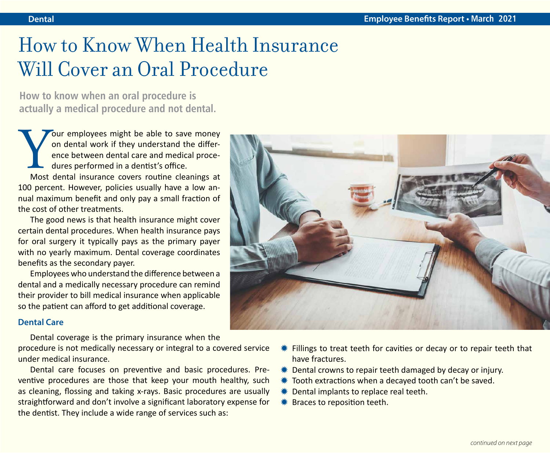### How to Know When Health Insurance Will Cover an Oral Procedure

**How to know when an oral procedure is actually a medical procedure and not dental.**

our employees might be able to save money on dental work if they understand the difference between dental care and medical procedures performed in a dentist's office.

Most dental insurance covers routine cleanings at 100 percent. However, policies usually have a low annual maximum benefit and only pay a small fraction of the cost of other treatments.

The good news is that health insurance might cover certain dental procedures. When health insurance pays for oral surgery it typically pays as the primary payer with no yearly maximum. Dental coverage coordinates benefits as the secondary payer.

Employees who understand the difference between a dental and a medically necessary procedure can remind their provider to bill medical insurance when applicable so the patient can afford to get additional coverage.

### **Dental Care**

Dental coverage is the primary insurance when the

procedure is not medically necessary or integral to a covered service under medical insurance.

Dental care focuses on preventive and basic procedures. Preventive procedures are those that keep your mouth healthy, such as cleaning, flossing and taking x-rays. Basic procedures are usually straightforward and don't involve a significant laboratory expense for the dentist. They include a wide range of services such as:



- $*$  Fillings to treat teeth for cavities or decay or to repair teeth that have fractures.
- $*$  Dental crowns to repair teeth damaged by decay or injury.
- $*$  Tooth extractions when a decayed tooth can't be saved.
- $*$  Dental implants to replace real teeth.
- **\* Braces to reposition teeth.**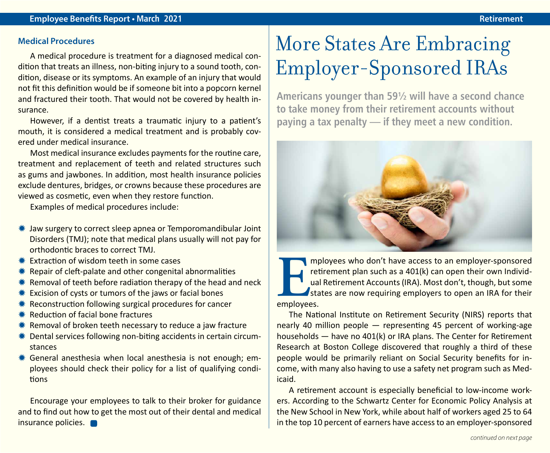### **Medical Procedures**

A medical procedure is treatment for a diagnosed medical condition that treats an illness, non-biting injury to a sound tooth, condition, disease or its symptoms. An example of an injury that would not fit this definition would be if someone bit into a popcorn kernel and fractured their tooth. That would not be covered by health insurance.

However, if a dentist treats a traumatic injury to a patient's mouth, it is considered a medical treatment and is probably covered under medical insurance.

Most medical insurance excludes payments for the routine care, treatment and replacement of teeth and related structures such as gums and jawbones. In addition, most health insurance policies exclude dentures, bridges, or crowns because these procedures are viewed as cosmetic, even when they restore function.

Examples of medical procedures include:

- $*$  Jaw surgery to correct sleep apnea or Temporomandibular Joint Disorders (TMJ); note that medical plans usually will not pay for orthodontic braces to correct TMJ.
- $*$  Extraction of wisdom teeth in some cases
- $*$  Repair of cleft-palate and other congenital abnormalities
- $*$  Removal of teeth before radiation therapy of the head and neck
- $*$  Excision of cysts or tumors of the jaws or facial bones
- $*$  Reconstruction following surgical procedures for cancer
- $*$  Reduction of facial bone fractures
- $*$  Removal of broken teeth necessary to reduce a jaw fracture
- $*$  Dental services following non-biting accidents in certain circumstances
- $*$  General anesthesia when local anesthesia is not enough; employees should check their policy for a list of qualifying conditions

Encourage your employees to talk to their broker for guidance and to find out how to get the most out of their dental and medical insurance policies.

## More States Are Embracing Employer-Sponsored IRAs

**Americans younger than 59½ will have a second chance to take money from their retirement accounts without paying a tax penalty — if they meet a new condition.**



**EXECUTE IS and THE IS and THE IS an employer of the method of the method of the property of the property of the states are now requiring employers to open an IRA for their employees.** retirement plan such as a 401(k) can open their own Individual Retirement Accounts (IRA). Most don't, though, but some states are now requiring employers to open an IRA for their employees.

The National Institute on Retirement Security (NIRS) reports that nearly 40 million people — representing 45 percent of working-age households — have no 401(k) or IRA plans. The Center for Retirement Research at Boston College discovered that roughly a third of these people would be primarily reliant on Social Security benefits for income, with many also having to use a safety net program such as Medicaid.

A retirement account is especially beneficial to low-income workers. According to the Schwartz Center for Economic Policy Analysis at the New School in New York, while about half of workers aged 25 to 64 in the top 10 percent of earners have access to an employer-sponsored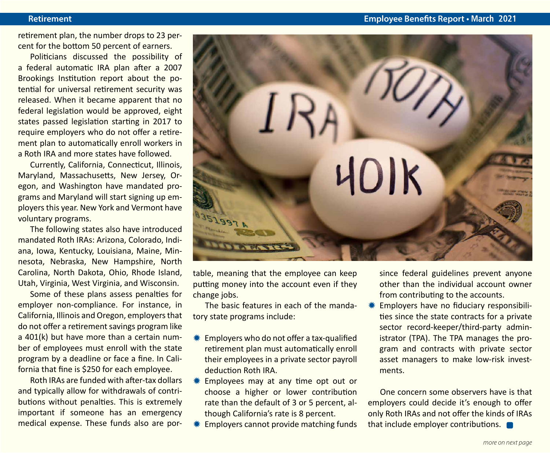retirement plan, the number drops to 23 percent for the bottom 50 percent of earners.

Politicians discussed the possibility of a federal automatic IRA plan after a 2007 Brookings Institution report about the potential for universal retirement security was released. When it became apparent that no federal legislation would be approved, eight states passed legislation starting in 2017 to require employers who do not offer a retirement plan to automatically enroll workers in a Roth IRA and more states have followed.

Currently, California, Connecticut, Illinois, Maryland, Massachusetts, New Jersey, Oregon, and Washington have mandated programs and Maryland will start signing up employers this year. New York and Vermont have voluntary programs.

The following states also have introduced mandated Roth IRAs: Arizona, Colorado, Indiana, Iowa, Kentucky, Louisiana, Maine, Minnesota, Nebraska, New Hampshire, North Carolina, North Dakota, Ohio, Rhode Island, Utah, Virginia, West Virginia, and Wisconsin.

Some of these plans assess penalties for employer non-compliance. For instance, in California, Illinois and Oregon, employers that do not offer a retirement savings program like a 401(k) but have more than a certain number of employees must enroll with the state program by a deadline or face a fine. In California that fine is \$250 for each employee.

Roth IRAs are funded with after-tax dollars and typically allow for withdrawals of contributions without penalties. This is extremely important if someone has an emergency medical expense. These funds also are por-



table, meaning that the employee can keep putting money into the account even if they change jobs.

The basic features in each of the mandatory state programs include:

- $*$  Employers who do not offer a tax-qualified retirement plan must automatically enroll their employees in a private sector payroll deduction Roth IRA.
- $*$  Employees may at any time opt out or choose a higher or lower contribution rate than the default of 3 or 5 percent, although California's rate is 8 percent.
- Employers cannot provide matching funds

since federal guidelines prevent anyone other than the individual account owner from contributing to the accounts.

Employers have no fiduciary responsibilities since the state contracts for a private sector record-keeper/third-party administrator (TPA). The TPA manages the program and contracts with private sector asset managers to make low-risk investments.

One concern some observers have is that employers could decide it's enough to offer only Roth IRAs and not offer the kinds of IRAs that include employer contributions.